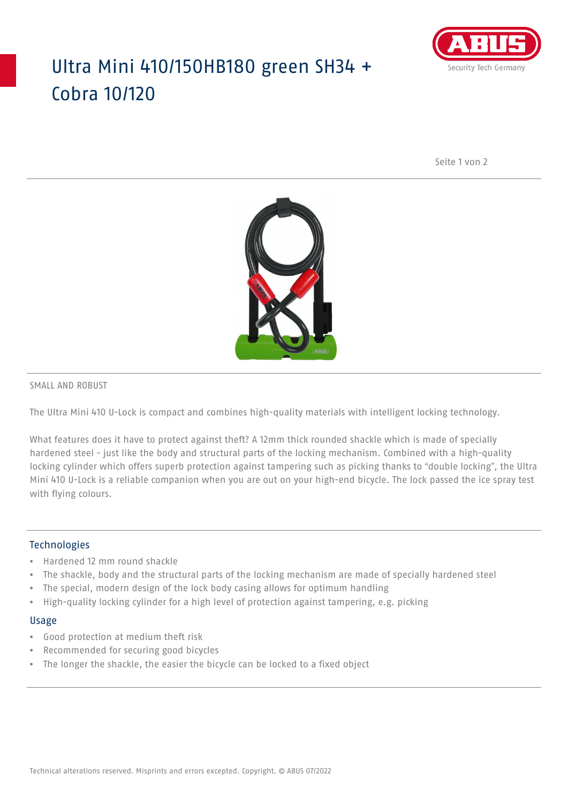## Ultra Mini 410/150HB180 green SH34 + Cobra 10/120



Seite 1 von 2



#### SMALL AND ROBUST

The Ultra Mini 410 U-Lock is compact and combines high-quality materials with intelligent locking technology.

What features does it have to protect against theft? A 12mm thick rounded shackle which is made of specially hardened steel - just like the body and structural parts of the locking mechanism. Combined with a high-quality locking cylinder which offers superb protection against tampering such as picking thanks to "double locking", the Ultra Mini 410 U-Lock is a reliable companion when you are out on your high-end bicycle. The lock passed the ice spray test with flying colours.

### **Technologies**

- Hardened 12 mm round shackle
- The shackle, body and the structural parts of the locking mechanism are made of specially hardened steel
- The special, modern design of the lock body casing allows for optimum handling
- High-quality locking cylinder for a high level of protection against tampering, e.g. picking

#### Usage

- Good protection at medium theft risk
- Recommended for securing good bicycles
- The longer the shackle, the easier the bicycle can be locked to a fixed object